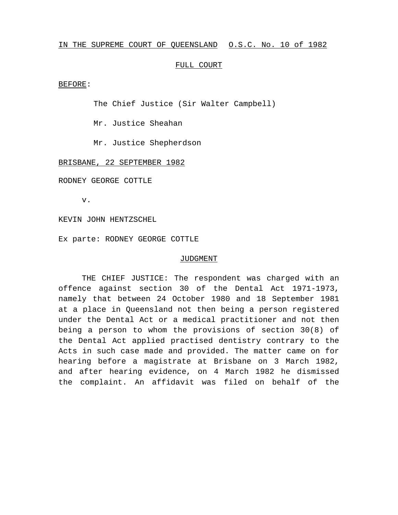## IN THE SUPREME COURT OF QUEENSLAND O.S.C. No. 10 of 1982

## FULL COURT

BEFORE:

The Chief Justice (Sir Walter Campbell)

Mr. Justice Sheahan

Mr. Justice Shepherdson

## BRISBANE, 22 SEPTEMBER 1982

RODNEY GEORGE COTTLE

v.

KEVIN JOHN HENTZSCHEL

Ex parte: RODNEY GEORGE COTTLE

## JUDGMENT

THE CHIEF JUSTICE: The respondent was charged with an offence against section 30 of the Dental Act 1971-1973, namely that between 24 October 1980 and 18 September 1981 at a place in Queensland not then being a person registered under the Dental Act or a medical practitioner and not then being a person to whom the provisions of section 30(8) of the Dental Act applied practised dentistry contrary to the Acts in such case made and provided. The matter came on for hearing before a magistrate at Brisbane on 3 March 1982, and after hearing evidence, on 4 March 1982 he dismissed the complaint. An affidavit was filed on behalf of the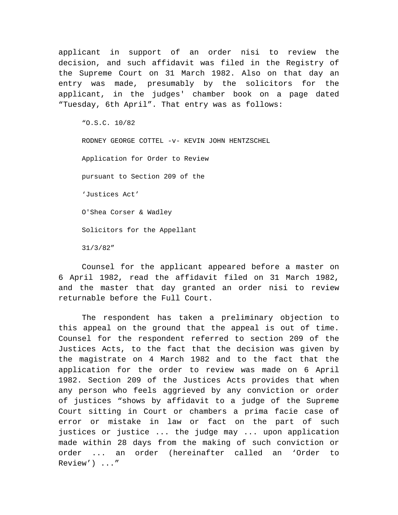applicant in support of an order nisi to review the decision, and such affidavit was filed in the Registry of the Supreme Court on 31 March 1982. Also on that day an entry was made, presumably by the solicitors for the applicant, in the judges' chamber book on a page dated "Tuesday, 6th April". That entry was as follows:

"O.S.C. 10/82

RODNEY GEORGE COTTEL -v- KEVIN JOHN HENTZSCHEL Application for Order to Review pursuant to Section 209 of the 'Justices Act' O'Shea Corser & Wadley Solicitors for the Appellant 31/3/82"

Counsel for the applicant appeared before a master on 6 April 1982, read the affidavit filed on 31 March 1982, and the master that day granted an order nisi to review returnable before the Full Court.

The respondent has taken a preliminary objection to this appeal on the ground that the appeal is out of time. Counsel for the respondent referred to section 209 of the Justices Acts, to the fact that the decision was given by the magistrate on 4 March 1982 and to the fact that the application for the order to review was made on 6 April 1982. Section 209 of the Justices Acts provides that when any person who feels aggrieved by any conviction or order of justices "shows by affidavit to a judge of the Supreme Court sitting in Court or chambers a prima facie case of error or mistake in law or fact on the part of such justices or justice ... the judge may ... upon application made within 28 days from the making of such conviction or order ... an order (hereinafter called an 'Order to Review') ..."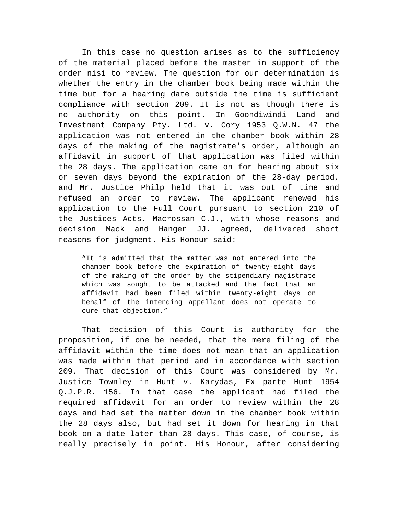In this case no question arises as to the sufficiency of the material placed before the master in support of the order nisi to review. The question for our determination is whether the entry in the chamber book being made within the time but for a hearing date outside the time is sufficient compliance with section 209. It is not as though there is no authority on this point. In Goondiwindi Land and Investment Company Pty. Ltd. v. Cory 1953 Q.W.N. 47 the application was not entered in the chamber book within 28 days of the making of the magistrate's order, although an affidavit in support of that application was filed within the 28 days. The application came on for hearing about six or seven days beyond the expiration of the 28-day period, and Mr. Justice Philp held that it was out of time and refused an order to review. The applicant renewed his application to the Full Court pursuant to section 210 of the Justices Acts. Macrossan C.J., with whose reasons and decision Mack and Hanger JJ. agreed, delivered short reasons for judgment. His Honour said:

"It is admitted that the matter was not entered into the chamber book before the expiration of twenty-eight days of the making of the order by the stipendiary magistrate which was sought to be attacked and the fact that an affidavit had been filed within twenty-eight days on behalf of the intending appellant does not operate to cure that objection."

That decision of this Court is authority for the proposition, if one be needed, that the mere filing of the affidavit within the time does not mean that an application was made within that period and in accordance with section 209. That decision of this Court was considered by Mr. Justice Townley in Hunt v. Karydas, Ex parte Hunt 1954 Q.J.P.R. 156. In that case the applicant had filed the required affidavit for an order to review within the 28 days and had set the matter down in the chamber book within the 28 days also, but had set it down for hearing in that book on a date later than 28 days. This case, of course, is really precisely in point. His Honour, after considering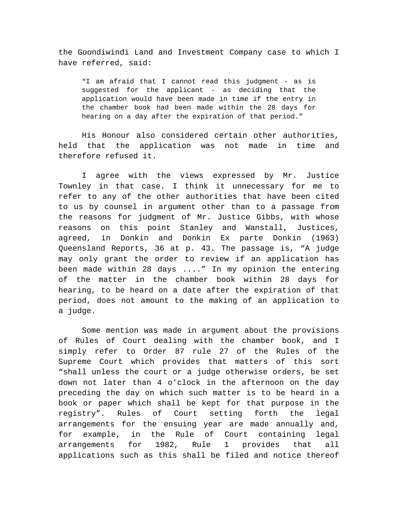the Goondiwindi Land and Investment Company case to which I have referred, said:

"I am afraid that I cannot read this judgment - as is suggested for the applicant - as deciding that the application would have been made in time if the entry in the chamber book had been made within the 28 days for hearing on a day after the expiration of that period."

His Honour also considered certain other authorities, held that the application was not made in time and therefore refused it.

I agree with the views expressed by Mr. Justice Townley in that case. I think it unnecessary for me to refer to any of the other authorities that have been cited to us by counsel in argument other than to a passage from the reasons for judgment of Mr. Justice Gibbs, with whose reasons on this point Stanley and Wanstall, Justices, agreed, in Donkin and Donkin Ex parte Donkin (1963) Queensland Reports, 36 at p. 43. The passage is, "A judge may only grant the order to review if an application has been made within 28 days ...." In my opinion the entering of the matter in the chamber book within 28 days for hearing, to be heard on a date after the expiration of that period, does not amount to the making of an application to a judge.

Some mention was made in argument about the provisions of Rules of Court dealing with the chamber book, and I simply refer to Order 87 rule 27 of the Rules of the Supreme Court which provides that matters of this sort "shall unless the court or a judge otherwise orders, be set down not later than 4 o'clock in the afternoon on the day preceding the day on which such matter is to be heard in a book or paper which shall be kept for that purpose in the registry". Rules of Court setting forth the legal arrangements for the ensuing year are made annually and, for example, in the Rule of Court containing legal arrangements for 1982, Rule 1 provides that all applications such as this shall be filed and notice thereof